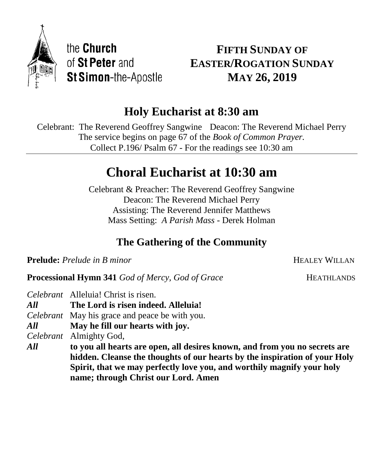

the Church of St Peter and St Simon-the-Apostle

# **FIFTH SUNDAY OF EASTER/ROGATION SUNDAY MAY 26, 2019**

# **Holy Eucharist at 8:30 am**

Celebrant: The Reverend Geoffrey Sangwine Deacon: The Reverend Michael Perry The service begins on page 67 of the *Book of Common Prayer.* Collect P.196/ Psalm 67 - For the readings see 10:30 am

# **Choral Eucharist at 10:30 am**

Celebrant & Preacher: The Reverend Geoffrey Sangwine Deacon: The Reverend Michael Perry Assisting: The Reverend Jennifer Matthews Mass Setting: *A Parish Mass* - Derek Holman

# **The Gathering of the Community**

**Prelude:** *Prelude in B minor Prelude in B minor Prelude in B minor Prelude in B minor Prelude in B minor* 

**Processional Hymn 341** *God of Mercy, God of Grace* HEATHLANDS

|     | Celebrant Alleluia! Christ is risen.                                       |
|-----|----------------------------------------------------------------------------|
| All | The Lord is risen indeed. Alleluia!                                        |
|     | <i>Celebrant</i> May his grace and peace be with you.                      |
| All | May he fill our hearts with joy.                                           |
|     | Celebrant Almighty God,                                                    |
| All | to you all hearts are open, all desires known, and from you no secrets are |
|     | hidden. Cleanse the thoughts of our hearts by the inspiration of your Holy |
|     | Spirit, that we may perfectly love you, and worthily magnify your holy     |
|     | name; through Christ our Lord. Amen                                        |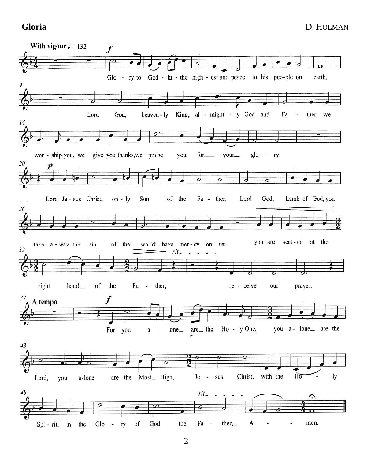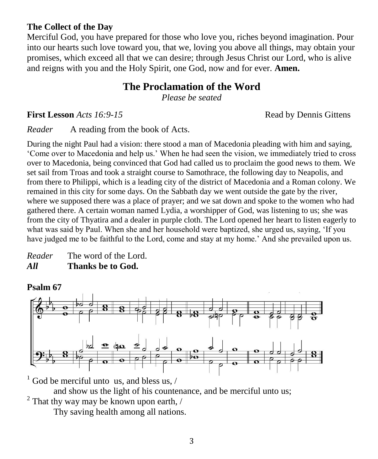## **The Collect of the Day**

Merciful God, you have prepared for those who love you, riches beyond imagination. Pour into our hearts such love toward you, that we, loving you above all things, may obtain your promises, which exceed all that we can desire; through Jesus Christ our Lord, who is alive and reigns with you and the Holy Spirit, one God, now and for ever. **Amen.**

# **The Proclamation of the Word**

*Please be seated*

**First Lesson** *Acts 16:9-15* **Read by Dennis Gittens** 

*Reader* A reading from the book of Acts.

During the night Paul had a vision: there stood a man of Macedonia pleading with him and saying, 'Come over to Macedonia and help us.' When he had seen the vision, we immediately tried to cross over to Macedonia, being convinced that God had called us to proclaim the good news to them. We set sail from Troas and took a straight course to Samothrace, the following day to Neapolis, and from there to Philippi, which is a leading city of the district of Macedonia and a Roman colony. We remained in this city for some days. On the Sabbath day we went outside the gate by the river, where we supposed there was a place of prayer; and we sat down and spoke to the women who had gathered there. A certain woman named Lydia, a worshipper of God, was listening to us; she was from the city of Thyatira and a dealer in purple cloth. The Lord opened her heart to listen eagerly to what was said by Paul. When she and her household were baptized, she urged us, saying, 'If you have judged me to be faithful to the Lord, come and stay at my home.' And she prevailed upon us.

*Reader* The word of the Lord. *All* **Thanks be to God.**

**Psalm 67**



<sup>1</sup> God be merciful unto us, and bless us,  $\ell$ 

and show us the light of his countenance, and be merciful unto us;  $2^2$  That thy way may be known upon earth,  $\ell$ 

Thy saving health among all nations.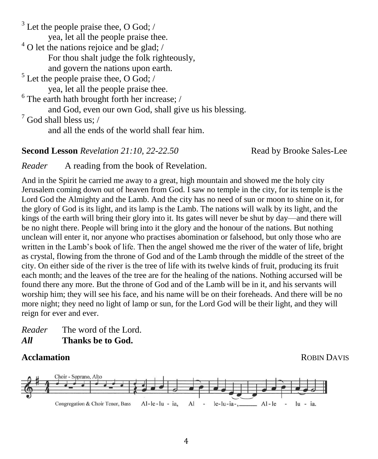$3$  Let the people praise thee, O God; / yea, let all the people praise thee.  $4^4$  O let the nations rejoice and be glad; / For thou shalt judge the folk righteously, and govern the nations upon earth.  $<sup>5</sup>$  Let the people praise thee, O God; /</sup> yea, let all the people praise thee. 6 The earth hath brought forth her increase; / and God, even our own God, shall give us his blessing.  $<sup>7</sup>$  God shall bless us;  $/$ </sup> and all the ends of the world shall fear him.

**Second Lesson** *Revelation 21:10, 22-22.50* Read by Brooke Sales-Lee

*Reader* A reading from the book of Revelation.

And in the Spirit he carried me away to a great, high mountain and showed me the holy city Jerusalem coming down out of heaven from God. I saw no temple in the city, for its temple is the Lord God the Almighty and the Lamb. And the city has no need of sun or moon to shine on it, for the glory of God is its light, and its lamp is the Lamb. The nations will walk by its light, and the kings of the earth will bring their glory into it. Its gates will never be shut by day—and there will be no night there. People will bring into it the glory and the honour of the nations. But nothing unclean will enter it, nor anyone who practises abomination or falsehood, but only those who are written in the Lamb's book of life. Then the angel showed me the river of the water of life, bright as crystal, flowing from the throne of God and of the Lamb through the middle of the street of the city. On either side of the river is the tree of life with its twelve kinds of fruit, producing its fruit each month; and the leaves of the tree are for the healing of the nations. Nothing accursed will be found there any more. But the throne of God and of the Lamb will be in it, and his servants will worship him; they will see his face, and his name will be on their foreheads. And there will be no more night; they need no light of lamp or sun, for the Lord God will be their light, and they will reign for ever and ever.

*Reader* The word of the Lord. *All* **Thanks be to God.**

#### **Acclamation ROBIN DAVIS** Choir - Soprano, Alto Congregation & Choir Tenor, Bass  $Al-le-lu - ia$ ,  $AI$  $le-lu-ia Al-le$  $\sim$  $lu - ia$ .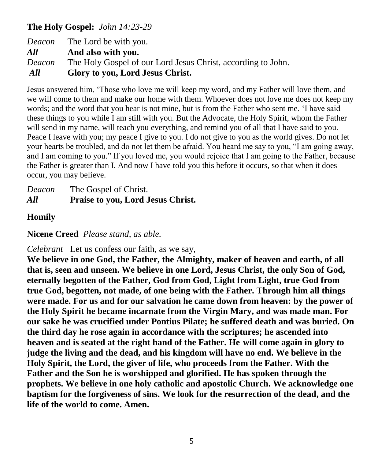## **The Holy Gospel:** *John 14:23-29*

| Deacon | The Lord be with you.                                        |
|--------|--------------------------------------------------------------|
| All    | And also with you.                                           |
| Deacon | The Holy Gospel of our Lord Jesus Christ, according to John. |
| All    | Glory to you, Lord Jesus Christ.                             |

Jesus answered him, 'Those who love me will keep my word, and my Father will love them, and we will come to them and make our home with them. Whoever does not love me does not keep my words; and the word that you hear is not mine, but is from the Father who sent me. 'I have said these things to you while I am still with you. But the Advocate, the Holy Spirit, whom the Father will send in my name, will teach you everything, and remind you of all that I have said to you. Peace I leave with you; my peace I give to you. I do not give to you as the world gives. Do not let your hearts be troubled, and do not let them be afraid. You heard me say to you, "I am going away, and I am coming to you." If you loved me, you would rejoice that I am going to the Father, because the Father is greater than I. And now I have told you this before it occurs, so that when it does occur, you may believe.

| Deacon | The Gospel of Christ.             |
|--------|-----------------------------------|
| All    | Praise to you, Lord Jesus Christ. |

# **Homily**

**Nicene Creed** *Please stand, as able.*

*Celebrant* Let us confess our faith, as we say,

**We believe in one God, the Father, the Almighty, maker of heaven and earth, of all that is, seen and unseen. We believe in one Lord, Jesus Christ, the only Son of God, eternally begotten of the Father, God from God, Light from Light, true God from true God, begotten, not made, of one being with the Father. Through him all things were made. For us and for our salvation he came down from heaven: by the power of the Holy Spirit he became incarnate from the Virgin Mary, and was made man. For our sake he was crucified under Pontius Pilate; he suffered death and was buried. On the third day he rose again in accordance with the scriptures; he ascended into heaven and is seated at the right hand of the Father. He will come again in glory to judge the living and the dead, and his kingdom will have no end. We believe in the Holy Spirit, the Lord, the giver of life, who proceeds from the Father. With the Father and the Son he is worshipped and glorified. He has spoken through the prophets. We believe in one holy catholic and apostolic Church. We acknowledge one baptism for the forgiveness of sins. We look for the resurrection of the dead, and the life of the world to come. Amen.**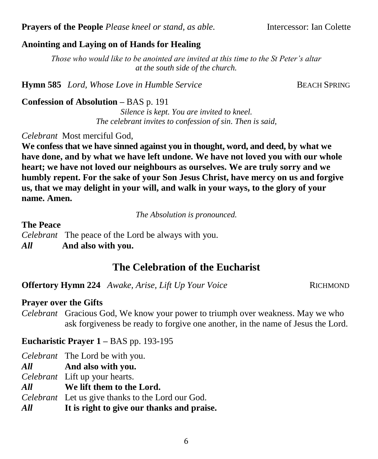#### **Prayers of the People** *Please kneel or stand, as able.* Intercessor: Ian Colette

#### **Anointing and Laying on of Hands for Healing**

*Those who would like to be anointed are invited at this time to the St Peter's altar at the south side of the church.*

**Hymn 585** *Lord, Whose Love in Humble Service* BEACH SPRING

**Confession of Absolution –** BAS p. 191

*Silence is kept. You are invited to kneel. The celebrant invites to confession of sin. Then is said,*

*Celebrant* Most merciful God,

**We confess that we have sinned against you in thought, word, and deed, by what we have done, and by what we have left undone. We have not loved you with our whole heart; we have not loved our neighbours as ourselves. We are truly sorry and we humbly repent. For the sake of your Son Jesus Christ, have mercy on us and forgive us, that we may delight in your will, and walk in your ways, to the glory of your name. Amen.**

*The Absolution is pronounced.*

**The Peace** *Celebrant* The peace of the Lord be always with you. *All* **And also with you.**

# **The Celebration of the Eucharist**

**Offertory Hymn 224** *Awake, Arise, Lift Up Your Voice* RICHMOND

#### **Prayer over the Gifts**

*Celebrant* Gracious God, We know your power to triumph over weakness. May we who ask forgiveness be ready to forgive one another, in the name of Jesus the Lord.

**Eucharistic Prayer 1 –** BAS pp. 193-195

*Celebrant* The Lord be with you.

*All* **And also with you.**

*Celebrant* Lift up your hearts.

*All* **We lift them to the Lord.**

*Celebrant* Let us give thanks to the Lord our God.

*All* **It is right to give our thanks and praise.**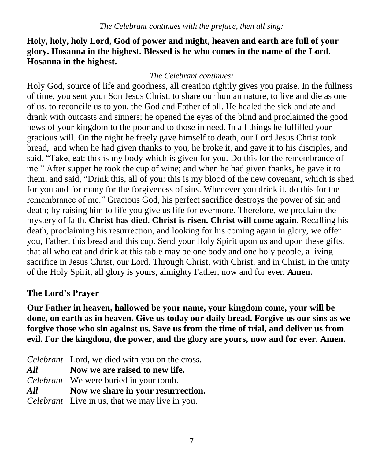## **Holy, holy, holy Lord, God of power and might, heaven and earth are full of your glory. Hosanna in the highest. Blessed is he who comes in the name of the Lord. Hosanna in the highest.**

### *The Celebrant continues:*

Holy God, source of life and goodness, all creation rightly gives you praise. In the fullness of time, you sent your Son Jesus Christ, to share our human nature, to live and die as one of us, to reconcile us to you, the God and Father of all. He healed the sick and ate and drank with outcasts and sinners; he opened the eyes of the blind and proclaimed the good news of your kingdom to the poor and to those in need. In all things he fulfilled your gracious will. On the night he freely gave himself to death, our Lord Jesus Christ took bread, and when he had given thanks to you, he broke it, and gave it to his disciples, and said, "Take, eat: this is my body which is given for you. Do this for the remembrance of me." After supper he took the cup of wine; and when he had given thanks, he gave it to them, and said, "Drink this, all of you: this is my blood of the new covenant, which is shed for you and for many for the forgiveness of sins. Whenever you drink it, do this for the remembrance of me." Gracious God, his perfect sacrifice destroys the power of sin and death; by raising him to life you give us life for evermore. Therefore, we proclaim the mystery of faith. **Christ has died. Christ is risen. Christ will come again.** Recalling his death, proclaiming his resurrection, and looking for his coming again in glory, we offer you, Father, this bread and this cup. Send your Holy Spirit upon us and upon these gifts, that all who eat and drink at this table may be one body and one holy people, a living sacrifice in Jesus Christ, our Lord. Through Christ, with Christ, and in Christ, in the unity of the Holy Spirit, all glory is yours, almighty Father, now and for ever. **Amen.**

## **The Lord's Prayer**

**Our Father in heaven, hallowed be your name, your kingdom come, your will be done, on earth as in heaven. Give us today our daily bread. Forgive us our sins as we forgive those who sin against us. Save us from the time of trial, and deliver us from evil. For the kingdom, the power, and the glory are yours, now and for ever. Amen.**

|     | Celebrant Lord, we died with you on the cross. |
|-----|------------------------------------------------|
| All | Now we are raised to new life.                 |
|     | Celebrant We were buried in your tomb.         |
| All | Now we share in your resurrection.             |
|     | Celebrant Live in us, that we may live in you. |